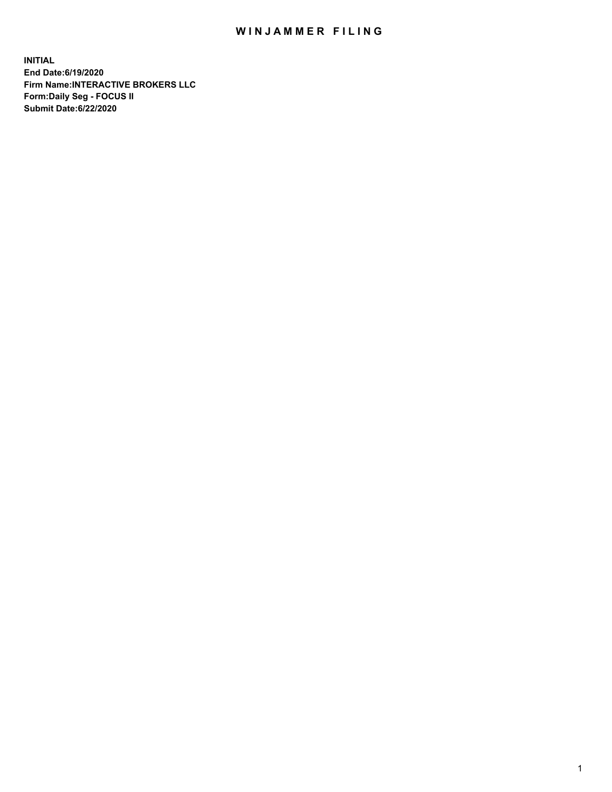## WIN JAMMER FILING

**INITIAL End Date:6/19/2020 Firm Name:INTERACTIVE BROKERS LLC Form:Daily Seg - FOCUS II Submit Date:6/22/2020**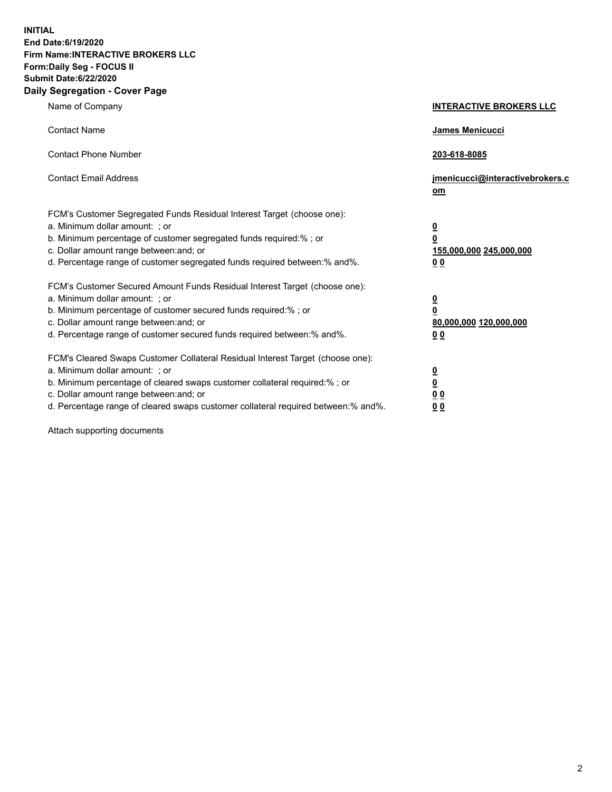**INITIAL End Date:6/19/2020 Firm Name:INTERACTIVE BROKERS LLC Form:Daily Seg - FOCUS II Submit Date:6/22/2020 Daily Segregation - Cover Page**

| Name of Company                                                                                                                                                                                                                                                                                                                | <b>INTERACTIVE BROKERS LLC</b>                                                                  |
|--------------------------------------------------------------------------------------------------------------------------------------------------------------------------------------------------------------------------------------------------------------------------------------------------------------------------------|-------------------------------------------------------------------------------------------------|
| <b>Contact Name</b>                                                                                                                                                                                                                                                                                                            | <b>James Menicucci</b>                                                                          |
| <b>Contact Phone Number</b>                                                                                                                                                                                                                                                                                                    | 203-618-8085                                                                                    |
| <b>Contact Email Address</b>                                                                                                                                                                                                                                                                                                   | jmenicucci@interactivebrokers.c<br>om                                                           |
| FCM's Customer Segregated Funds Residual Interest Target (choose one):<br>a. Minimum dollar amount: ; or<br>b. Minimum percentage of customer segregated funds required:%; or<br>c. Dollar amount range between: and; or<br>d. Percentage range of customer segregated funds required between:% and%.                          | $\overline{\mathbf{0}}$<br>$\overline{\mathbf{0}}$<br>155,000,000 245,000,000<br>0 <sub>0</sub> |
| FCM's Customer Secured Amount Funds Residual Interest Target (choose one):<br>a. Minimum dollar amount: ; or<br>b. Minimum percentage of customer secured funds required:%; or<br>c. Dollar amount range between: and; or<br>d. Percentage range of customer secured funds required between:% and%.                            | <u>0</u><br>$\overline{\mathbf{0}}$<br>80,000,000 120,000,000<br>0 <sub>0</sub>                 |
| FCM's Cleared Swaps Customer Collateral Residual Interest Target (choose one):<br>a. Minimum dollar amount: ; or<br>b. Minimum percentage of cleared swaps customer collateral required:% ; or<br>c. Dollar amount range between: and; or<br>d. Percentage range of cleared swaps customer collateral required between:% and%. | $\overline{\mathbf{0}}$<br>$\underline{\mathbf{0}}$<br>0 <sub>0</sub><br>00                     |

Attach supporting documents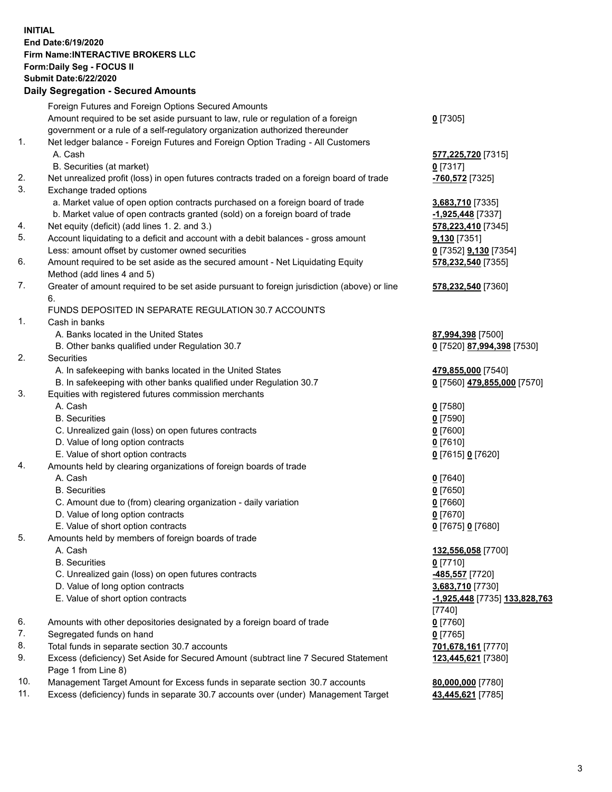**INITIAL End Date:6/19/2020 Firm Name:INTERACTIVE BROKERS LLC Form:Daily Seg - FOCUS II Submit Date:6/22/2020 Daily Segregation - Secured Amounts**

|     | Daily Segregation - Secured Amounts                                                         |                               |
|-----|---------------------------------------------------------------------------------------------|-------------------------------|
|     | Foreign Futures and Foreign Options Secured Amounts                                         |                               |
|     | Amount required to be set aside pursuant to law, rule or regulation of a foreign            | $0$ [7305]                    |
|     | government or a rule of a self-regulatory organization authorized thereunder                |                               |
| 1.  | Net ledger balance - Foreign Futures and Foreign Option Trading - All Customers             |                               |
|     | A. Cash                                                                                     | <b>577,225,720</b> [7315]     |
|     | B. Securities (at market)                                                                   | $0$ [7317]                    |
| 2.  | Net unrealized profit (loss) in open futures contracts traded on a foreign board of trade   | -760,572 <sup>[7325]</sup>    |
| 3.  | Exchange traded options                                                                     |                               |
|     | a. Market value of open option contracts purchased on a foreign board of trade              | 3,683,710 [7335]              |
|     | b. Market value of open contracts granted (sold) on a foreign board of trade                | -1,925,448 [7337]             |
| 4.  | Net equity (deficit) (add lines 1. 2. and 3.)                                               | 578,223,410 [7345]            |
| 5.  | Account liquidating to a deficit and account with a debit balances - gross amount           | 9,130 [7351]                  |
|     | Less: amount offset by customer owned securities                                            | 0 [7352] <b>9,130</b> [7354]  |
| 6.  | Amount required to be set aside as the secured amount - Net Liquidating Equity              | 578,232,540 [7355]            |
|     | Method (add lines 4 and 5)                                                                  |                               |
| 7.  | Greater of amount required to be set aside pursuant to foreign jurisdiction (above) or line | 578,232,540 [7360]            |
|     | 6.                                                                                          |                               |
|     | FUNDS DEPOSITED IN SEPARATE REGULATION 30.7 ACCOUNTS                                        |                               |
| 1.  | Cash in banks                                                                               |                               |
|     | A. Banks located in the United States                                                       | 87,994,398 [7500]             |
|     | B. Other banks qualified under Regulation 30.7                                              | 0 [7520] 87,994,398 [7530]    |
| 2.  | <b>Securities</b>                                                                           |                               |
|     | A. In safekeeping with banks located in the United States                                   | 479,855,000 [7540]            |
|     | B. In safekeeping with other banks qualified under Regulation 30.7                          | 0 [7560] 479,855,000 [7570]   |
| 3.  | Equities with registered futures commission merchants                                       |                               |
|     | A. Cash                                                                                     | $0$ [7580]                    |
|     | <b>B.</b> Securities                                                                        | $0$ [7590]                    |
|     | C. Unrealized gain (loss) on open futures contracts                                         | $0$ [7600]                    |
|     | D. Value of long option contracts                                                           | $0$ [7610]                    |
|     | E. Value of short option contracts                                                          | 0 [7615] 0 [7620]             |
| 4.  | Amounts held by clearing organizations of foreign boards of trade                           |                               |
|     | A. Cash                                                                                     | $0$ [7640]                    |
|     | <b>B.</b> Securities                                                                        | $0$ [7650]                    |
|     | C. Amount due to (from) clearing organization - daily variation                             | $0$ [7660]                    |
|     | D. Value of long option contracts                                                           | $0$ [7670]                    |
|     | E. Value of short option contracts                                                          | 0 [7675] 0 [7680]             |
| 5.  | Amounts held by members of foreign boards of trade                                          |                               |
|     | A. Cash                                                                                     | 132,556,058 [7700]            |
|     | <b>B.</b> Securities                                                                        | $0$ [7710]                    |
|     | C. Unrealized gain (loss) on open futures contracts                                         | 485,557 [7720]                |
|     | D. Value of long option contracts                                                           | 3,683,710 [7730]              |
|     | E. Value of short option contracts                                                          | -1,925,448 [7735] 133,828,763 |
|     |                                                                                             | $[7740]$                      |
| 6.  | Amounts with other depositories designated by a foreign board of trade                      | $0$ [7760]                    |
| 7.  | Segregated funds on hand                                                                    | $0$ [7765]                    |
| 8.  | Total funds in separate section 30.7 accounts                                               | 701,678,161 [7770]            |
| 9.  | Excess (deficiency) Set Aside for Secured Amount (subtract line 7 Secured Statement         | 123,445,621 [7380]            |
|     | Page 1 from Line 8)                                                                         |                               |
| 10. | Management Target Amount for Excess funds in separate section 30.7 accounts                 | 80,000,000 [7780]             |
| 11. | Excess (deficiency) funds in separate 30.7 accounts over (under) Management Target          | 43,445,621 [7785]             |
|     |                                                                                             |                               |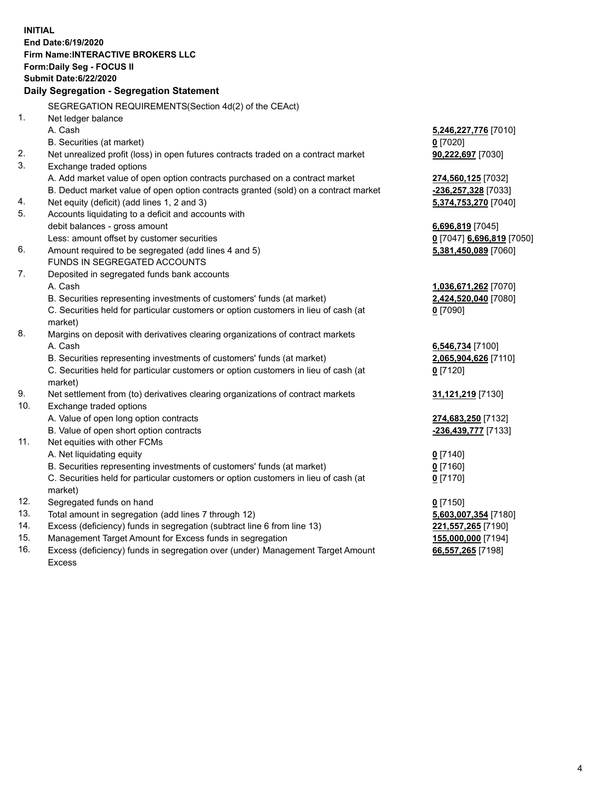**INITIAL End Date:6/19/2020 Firm Name:INTERACTIVE BROKERS LLC Form:Daily Seg - FOCUS II Submit Date:6/22/2020 Daily Segregation - Segregation Statement** SEGREGATION REQUIREMENTS(Section 4d(2) of the CEAct) 1. Net ledger balance A. Cash **5,246,227,776** [7010] B. Securities (at market) **0** [7020] 2. Net unrealized profit (loss) in open futures contracts traded on a contract market **90,222,697** [7030] 3. Exchange traded options A. Add market value of open option contracts purchased on a contract market **274,560,125** [7032] B. Deduct market value of open option contracts granted (sold) on a contract market **-236,257,328** [7033] 4. Net equity (deficit) (add lines 1, 2 and 3) **5,374,753,270** [7040] 5. Accounts liquidating to a deficit and accounts with debit balances - gross amount **6,696,819** [7045] Less: amount offset by customer securities **0** [7047] **6,696,819** [7050] 6. Amount required to be segregated (add lines 4 and 5) **5,381,450,089** [7060] FUNDS IN SEGREGATED ACCOUNTS 7. Deposited in segregated funds bank accounts A. Cash **1,036,671,262** [7070] B. Securities representing investments of customers' funds (at market) **2,424,520,040** [7080] C. Securities held for particular customers or option customers in lieu of cash (at market) **0** [7090] 8. Margins on deposit with derivatives clearing organizations of contract markets A. Cash **6,546,734** [7100] B. Securities representing investments of customers' funds (at market) **2,065,904,626** [7110] C. Securities held for particular customers or option customers in lieu of cash (at market) **0** [7120] 9. Net settlement from (to) derivatives clearing organizations of contract markets **31,121,219** [7130] 10. Exchange traded options A. Value of open long option contracts **274,683,250** [7132] B. Value of open short option contracts **-236,439,777** [7133] 11. Net equities with other FCMs A. Net liquidating equity **0** [7140] B. Securities representing investments of customers' funds (at market) **0** [7160] C. Securities held for particular customers or option customers in lieu of cash (at market) **0** [7170] 12. Segregated funds on hand **0** [7150] 13. Total amount in segregation (add lines 7 through 12) **5,603,007,354** [7180] 14. Excess (deficiency) funds in segregation (subtract line 6 from line 13) **221,557,265** [7190] 15. Management Target Amount for Excess funds in segregation **155,000,000** [7194]

16. Excess (deficiency) funds in segregation over (under) Management Target Amount Excess

**66,557,265** [7198]